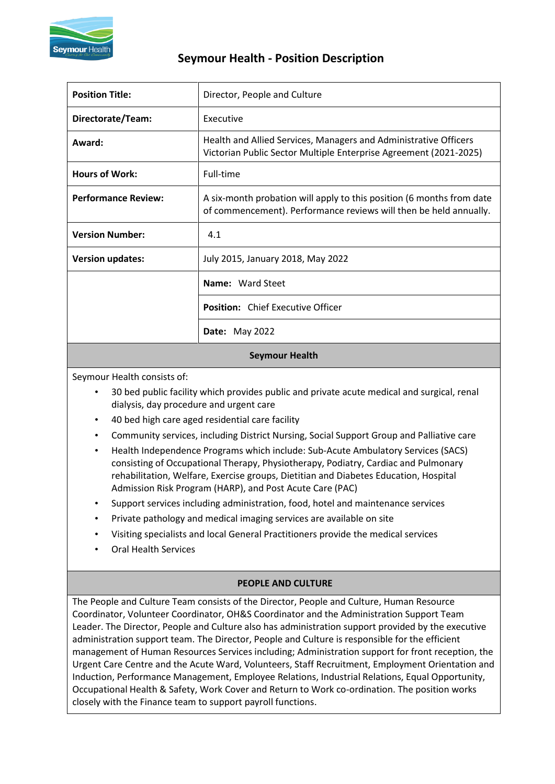

# **Seymour Health - Position Description**

| <b>Position Title:</b>     | Director, People and Culture                                                                                                               |  |  |  |
|----------------------------|--------------------------------------------------------------------------------------------------------------------------------------------|--|--|--|
| Directorate/Team:          | Executive                                                                                                                                  |  |  |  |
| Award:                     | Health and Allied Services, Managers and Administrative Officers<br>Victorian Public Sector Multiple Enterprise Agreement (2021-2025)      |  |  |  |
| <b>Hours of Work:</b>      | Full-time                                                                                                                                  |  |  |  |
| <b>Performance Review:</b> | A six-month probation will apply to this position (6 months from date<br>of commencement). Performance reviews will then be held annually. |  |  |  |
| <b>Version Number:</b>     | 4.1                                                                                                                                        |  |  |  |
| <b>Version updates:</b>    | July 2015, January 2018, May 2022                                                                                                          |  |  |  |
|                            | Name: Ward Steet                                                                                                                           |  |  |  |
|                            | <b>Position:</b> Chief Executive Officer                                                                                                   |  |  |  |
|                            | <b>Date:</b> May 2022                                                                                                                      |  |  |  |

#### **Seymour Health**

Seymour Health consists of:

- 30 bed public facility which provides public and private acute medical and surgical, renal dialysis, day procedure and urgent care
- 40 bed high care aged residential care facility
- Community services, including District Nursing, Social Support Group and Palliative care
- Health Independence Programs which include: Sub-Acute Ambulatory Services (SACS) consisting of Occupational Therapy, Physiotherapy, Podiatry, Cardiac and Pulmonary rehabilitation, Welfare, Exercise groups, Dietitian and Diabetes Education, Hospital Admission Risk Program (HARP), and Post Acute Care (PAC)
- Support services including administration, food, hotel and maintenance services
- Private pathology and medical imaging services are available on site
- Visiting specialists and local General Practitioners provide the medical services
- Oral Health Services

### **PEOPLE AND CULTURE**

The People and Culture Team consists of the Director, People and Culture, Human Resource Coordinator, Volunteer Coordinator, OH&S Coordinator and the Administration Support Team Leader. The Director, People and Culture also has administration support provided by the executive administration support team. The Director, People and Culture is responsible for the efficient management of Human Resources Services including; Administration support for front reception, the Urgent Care Centre and the Acute Ward, Volunteers, Staff Recruitment, Employment Orientation and Induction, Performance Management, Employee Relations, Industrial Relations, Equal Opportunity, Occupational Health & Safety, Work Cover and Return to Work co-ordination. The position works closely with the Finance team to support payroll functions.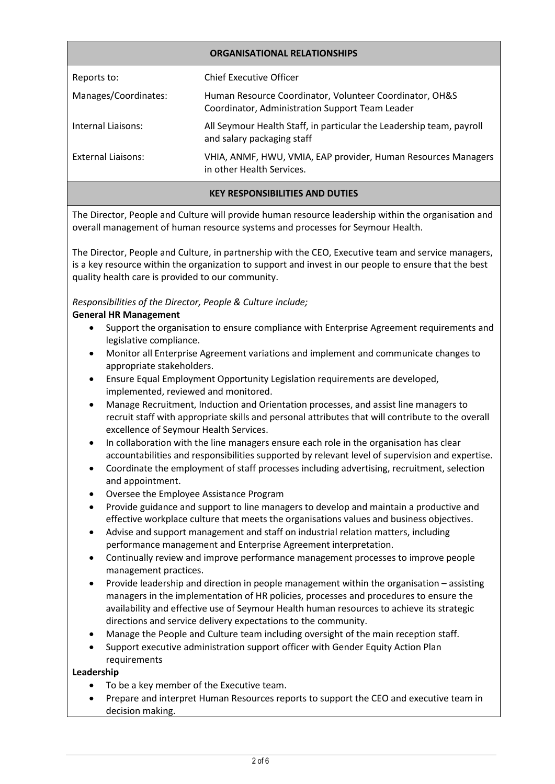| <b>ORGANISATIONAL RELATIONSHIPS</b> |                                                                                                            |  |  |  |
|-------------------------------------|------------------------------------------------------------------------------------------------------------|--|--|--|
| Reports to:                         | Chief Executive Officer                                                                                    |  |  |  |
| Manages/Coordinates:                | Human Resource Coordinator, Volunteer Coordinator, OH&S<br>Coordinator, Administration Support Team Leader |  |  |  |
| Internal Liaisons:                  | All Seymour Health Staff, in particular the Leadership team, payroll<br>and salary packaging staff         |  |  |  |
| External Liaisons:                  | VHIA, ANMF, HWU, VMIA, EAP provider, Human Resources Managers<br>in other Health Services.                 |  |  |  |
|                                     |                                                                                                            |  |  |  |

### **KEY RESPONSIBILITIES AND DUTIES**

The Director, People and Culture will provide human resource leadership within the organisation and overall management of human resource systems and processes for Seymour Health.

The Director, People and Culture, in partnership with the CEO, Executive team and service managers, is a key resource within the organization to support and invest in our people to ensure that the best quality health care is provided to our community.

### *Responsibilities of the Director, People & Culture include;*

### **General HR Management**

- Support the organisation to ensure compliance with Enterprise Agreement requirements and legislative compliance.
- Monitor all Enterprise Agreement variations and implement and communicate changes to appropriate stakeholders.
- Ensure Equal Employment Opportunity Legislation requirements are developed, implemented, reviewed and monitored.
- Manage Recruitment, Induction and Orientation processes, and assist line managers to recruit staff with appropriate skills and personal attributes that will contribute to the overall excellence of Seymour Health Services.
- In collaboration with the line managers ensure each role in the organisation has clear accountabilities and responsibilities supported by relevant level of supervision and expertise.
- Coordinate the employment of staff processes including advertising, recruitment, selection and appointment.
- Oversee the Employee Assistance Program
- Provide guidance and support to line managers to develop and maintain a productive and effective workplace culture that meets the organisations values and business objectives.
- Advise and support management and staff on industrial relation matters, including performance management and Enterprise Agreement interpretation.
- Continually review and improve performance management processes to improve people management practices.
- Provide leadership and direction in people management within the organisation assisting managers in the implementation of HR policies, processes and procedures to ensure the availability and effective use of Seymour Health human resources to achieve its strategic directions and service delivery expectations to the community.
- Manage the People and Culture team including oversight of the main reception staff.
- Support executive administration support officer with Gender Equity Action Plan requirements

### **Leadership**

- To be a key member of the Executive team.
- Prepare and interpret Human Resources reports to support the CEO and executive team in decision making.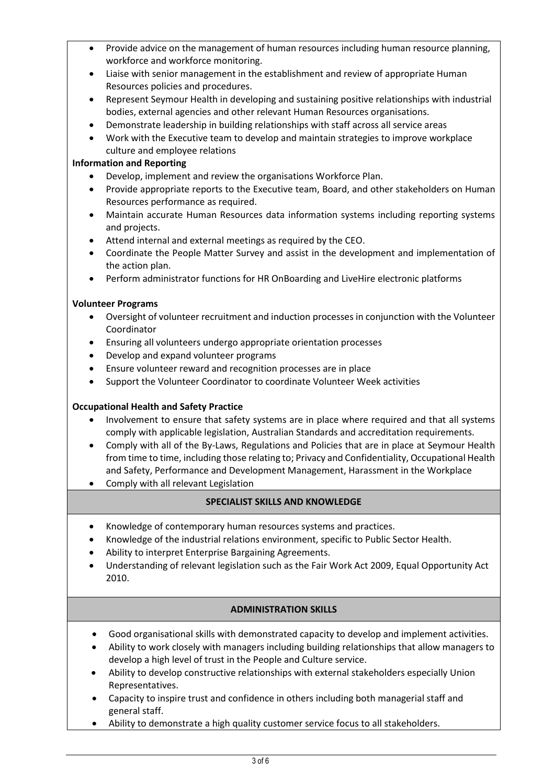- Provide advice on the management of human resources including human resource planning, workforce and workforce monitoring.
- Liaise with senior management in the establishment and review of appropriate Human Resources policies and procedures.
- Represent Seymour Health in developing and sustaining positive relationships with industrial bodies, external agencies and other relevant Human Resources organisations.
- Demonstrate leadership in building relationships with staff across all service areas
- Work with the Executive team to develop and maintain strategies to improve workplace culture and employee relations

### **Information and Reporting**

- Develop, implement and review the organisations Workforce Plan.
- Provide appropriate reports to the Executive team, Board, and other stakeholders on Human Resources performance as required.
- Maintain accurate Human Resources data information systems including reporting systems and projects.
- Attend internal and external meetings as required by the CEO.
- Coordinate the People Matter Survey and assist in the development and implementation of the action plan.
- Perform administrator functions for HR OnBoarding and LiveHire electronic platforms

### **Volunteer Programs**

- Oversight of volunteer recruitment and induction processes in conjunction with the Volunteer Coordinator
- Ensuring all volunteers undergo appropriate orientation processes
- Develop and expand volunteer programs
- Ensure volunteer reward and recognition processes are in place
- Support the Volunteer Coordinator to coordinate Volunteer Week activities

### **Occupational Health and Safety Practice**

- Involvement to ensure that safety systems are in place where required and that all systems comply with applicable legislation, Australian Standards and accreditation requirements.
- Comply with all of the By-Laws, Regulations and Policies that are in place at Seymour Health from time to time, including those relating to; Privacy and Confidentiality, Occupational Health and Safety, Performance and Development Management, Harassment in the Workplace
- Comply with all relevant Legislation

## **SPECIALIST SKILLS AND KNOWLEDGE**

- Knowledge of contemporary human resources systems and practices.
- Knowledge of the industrial relations environment, specific to Public Sector Health.
- Ability to interpret Enterprise Bargaining Agreements.
- Understanding of relevant legislation such as the Fair Work Act 2009, Equal Opportunity Act 2010.

### **ADMINISTRATION SKILLS**

- Good organisational skills with demonstrated capacity to develop and implement activities.
- Ability to work closely with managers including building relationships that allow managers to develop a high level of trust in the People and Culture service.
- Ability to develop constructive relationships with external stakeholders especially Union Representatives.
- Capacity to inspire trust and confidence in others including both managerial staff and general staff.
- Ability to demonstrate a high quality customer service focus to all stakeholders.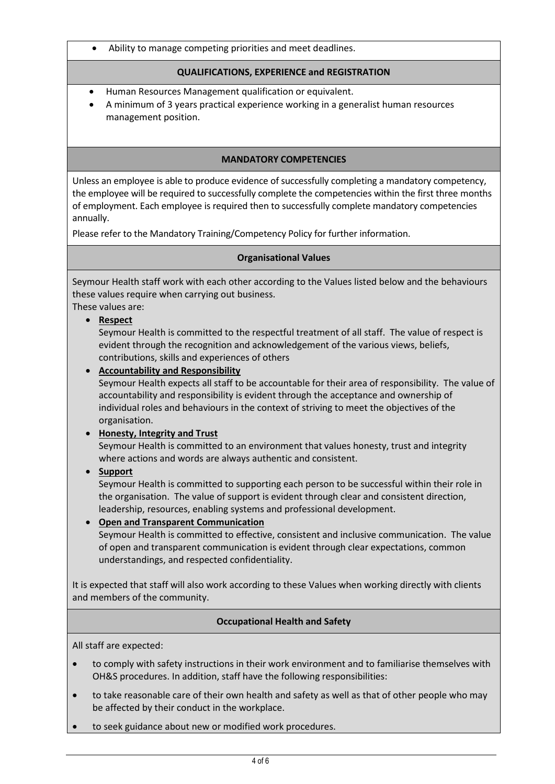• Ability to manage competing priorities and meet deadlines.

### **QUALIFICATIONS, EXPERIENCE and REGISTRATION**

- Human Resources Management qualification or equivalent.
- A minimum of 3 years practical experience working in a generalist human resources management position.

### **MANDATORY COMPETENCIES**

Unless an employee is able to produce evidence of successfully completing a mandatory competency, the employee will be required to successfully complete the competencies within the first three months of employment. Each employee is required then to successfully complete mandatory competencies annually.

Please refer to the Mandatory Training/Competency Policy for further information.

### **Organisational Values**

Seymour Health staff work with each other according to the Values listed below and the behaviours these values require when carrying out business.

These values are:

### • **Respect**

Seymour Health is committed to the respectful treatment of all staff. The value of respect is evident through the recognition and acknowledgement of the various views, beliefs, contributions, skills and experiences of others

• **Accountability and Responsibility** Seymour Health expects all staff to be accountable for their area of responsibility. The value of accountability and responsibility is evident through the acceptance and ownership of individual roles and behaviours in the context of striving to meet the objectives of the organisation.

## • **Honesty, Integrity and Trust**

Seymour Health is committed to an environment that values honesty, trust and integrity where actions and words are always authentic and consistent.

## • **Support**

Seymour Health is committed to supporting each person to be successful within their role in the organisation. The value of support is evident through clear and consistent direction, leadership, resources, enabling systems and professional development.

### • **Open and Transparent Communication**

Seymour Health is committed to effective, consistent and inclusive communication. The value of open and transparent communication is evident through clear expectations, common understandings, and respected confidentiality.

It is expected that staff will also work according to these Values when working directly with clients and members of the community.

### **Occupational Health and Safety**

All staff are expected:

- to comply with safety instructions in their work environment and to familiarise themselves with OH&S procedures. In addition, staff have the following responsibilities:
- to take reasonable care of their own health and safety as well as that of other people who may be affected by their conduct in the workplace.
- to seek guidance about new or modified work procedures.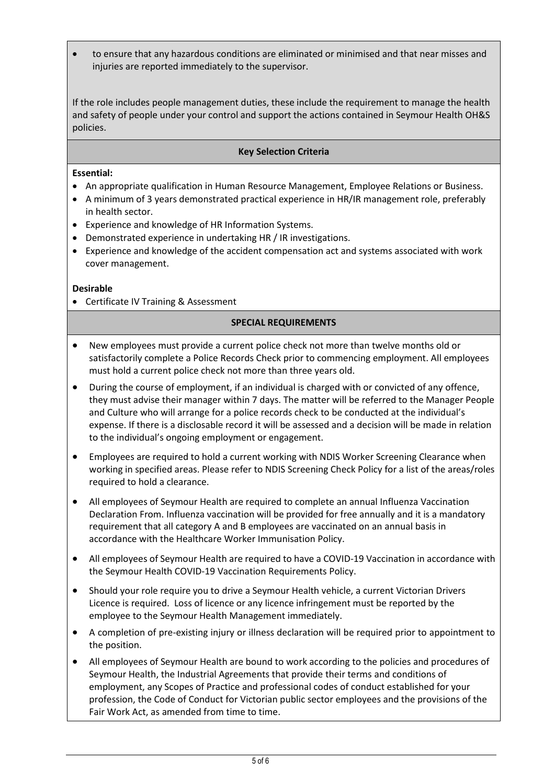• to ensure that any hazardous conditions are eliminated or minimised and that near misses and injuries are reported immediately to the supervisor.

If the role includes people management duties, these include the requirement to manage the health and safety of people under your control and support the actions contained in Seymour Health OH&S policies.

#### **Key Selection Criteria**

#### **Essential:**

- An appropriate qualification in Human Resource Management, Employee Relations or Business.
- A minimum of 3 years demonstrated practical experience in HR/IR management role, preferably in health sector.
- Experience and knowledge of HR Information Systems.
- Demonstrated experience in undertaking HR / IR investigations.
- Experience and knowledge of the accident compensation act and systems associated with work cover management.

#### **Desirable**

• Certificate IV Training & Assessment

#### **SPECIAL REQUIREMENTS**

- New employees must provide a current police check not more than twelve months old or satisfactorily complete a Police Records Check prior to commencing employment. All employees must hold a current police check not more than three years old.
- During the course of employment, if an individual is charged with or convicted of any offence, they must advise their manager within 7 days. The matter will be referred to the Manager People and Culture who will arrange for a police records check to be conducted at the individual's expense. If there is a disclosable record it will be assessed and a decision will be made in relation to the individual's ongoing employment or engagement.
- Employees are required to hold a current working with NDIS Worker Screening Clearance when working in specified areas. Please refer to NDIS Screening Check Policy for a list of the areas/roles required to hold a clearance.
- All employees of Seymour Health are required to complete an annual Influenza Vaccination Declaration From. Influenza vaccination will be provided for free annually and it is a mandatory requirement that all category A and B employees are vaccinated on an annual basis in accordance with the Healthcare Worker Immunisation Policy.
- All employees of Seymour Health are required to have a COVID-19 Vaccination in accordance with the Seymour Health COVID-19 Vaccination Requirements Policy.
- Should your role require you to drive a Seymour Health vehicle, a current Victorian Drivers Licence is required. Loss of licence or any licence infringement must be reported by the employee to the Seymour Health Management immediately.
- A completion of pre-existing injury or illness declaration will be required prior to appointment to the position.
- All employees of Seymour Health are bound to work according to the policies and procedures of Seymour Health, the Industrial Agreements that provide their terms and conditions of employment, any Scopes of Practice and professional codes of conduct established for your profession, the Code of Conduct for Victorian public sector employees and the provisions of the Fair Work Act, as amended from time to time.